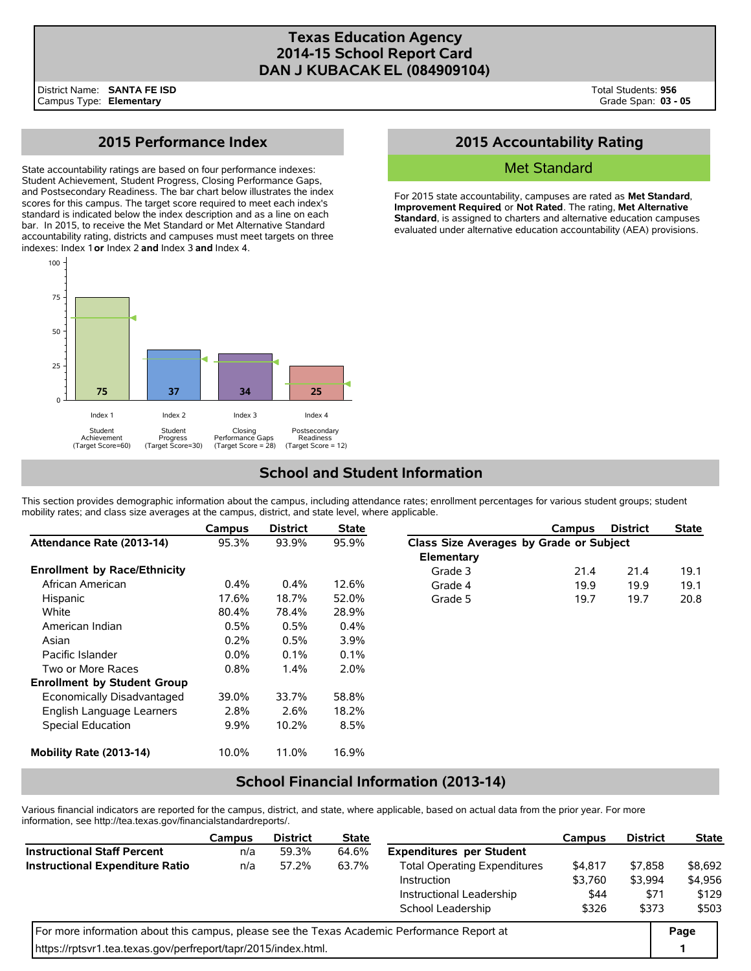### **Texas Education Agency 2014-15 School Report Card DAN J KUBACAK EL (084909104)**

## **2015 Performance Index**

State accountability ratings are based on four performance indexes: Student Achievement, Student Progress, Closing Performance Gaps, and Postsecondary Readiness. The bar chart below illustrates the index scores for this campus. The target score required to meet each index's standard is indicated below the index description and as a line on each bar. In 2015, to receive the Met Standard or Met Alternative Standard accountability rating, districts and campuses must meet targets on three indexes: Index 1 **or** Index 2 **and** Index 3 **and** Index 4.



### **2015 Accountability Rating**

### Met Standard

For 2015 state accountability, campuses are rated as **Met Standard**, **Improvement Required**, or **Not Rated**. The rating, **Met Alternative Standard**, is assigned to charters and alternative education campuses evaluated under alternative education accountability (AEA) provisions.

# **School and Student Information**

This section provides demographic information about the campus, including attendance rates; enrollment percentages for various student groups; student mobility rates; and class size averages at the campus, district, and state level, where applicable.

|                                     | Campus  | <b>District</b> | <b>State</b> |                                         | <b>Campus</b> | <b>District</b> | <b>State</b> |  |  |
|-------------------------------------|---------|-----------------|--------------|-----------------------------------------|---------------|-----------------|--------------|--|--|
| Attendance Rate (2013-14)           | 95.3%   | 93.9%           | 95.9%        | Class Size Averages by Grade or Subject |               |                 |              |  |  |
|                                     |         |                 |              | Elementary                              |               |                 |              |  |  |
| <b>Enrollment by Race/Ethnicity</b> |         |                 |              | Grade 3                                 | 21.4          | 21.4            | 19.1         |  |  |
| African American                    | $0.4\%$ | $0.4\%$         | 12.6%        | Grade 4                                 | 19.9          | 19.9            | 19.1         |  |  |
| Hispanic                            | 17.6%   | 18.7%           | 52.0%        | Grade 5                                 | 19.7          | 19.7            | 20.8         |  |  |
| White                               | 80.4%   | 78.4%           | 28.9%        |                                         |               |                 |              |  |  |
| American Indian                     | 0.5%    | 0.5%            | 0.4%         |                                         |               |                 |              |  |  |
| Asian                               | 0.2%    | 0.5%            | 3.9%         |                                         |               |                 |              |  |  |
| Pacific Islander                    | $0.0\%$ | 0.1%            | $0.1\%$      |                                         |               |                 |              |  |  |
| Two or More Races                   | 0.8%    | 1.4%            | 2.0%         |                                         |               |                 |              |  |  |
| <b>Enrollment by Student Group</b>  |         |                 |              |                                         |               |                 |              |  |  |
| Economically Disadvantaged          | 39.0%   | 33.7%           | 58.8%        |                                         |               |                 |              |  |  |
| English Language Learners           | 2.8%    | 2.6%            | 18.2%        |                                         |               |                 |              |  |  |
| Special Education                   | $9.9\%$ | 10.2%           | 8.5%         |                                         |               |                 |              |  |  |
| Mobility Rate (2013-14)             | 10.0%   | 11.0%           | 16.9%        |                                         |               |                 |              |  |  |

### **School Financial Information (2013-14)**

Various financial indicators are reported for the campus, district, and state, where applicable, based on actual data from the prior year. For more information, see http://tea.texas.gov/financialstandardreports/.

|                                                                                             | Campus | <b>District</b> | <b>State</b> |                                     | Campus  | <b>District</b> | <b>State</b> |
|---------------------------------------------------------------------------------------------|--------|-----------------|--------------|-------------------------------------|---------|-----------------|--------------|
| <b>Instructional Staff Percent</b>                                                          | n/a    | 59.3%           | 64.6%        | <b>Expenditures per Student</b>     |         |                 |              |
| <b>Instructional Expenditure Ratio</b>                                                      | n/a    | 57.2%           | 63.7%        | <b>Total Operating Expenditures</b> | \$4,817 | \$7,858         | \$8,692      |
|                                                                                             |        |                 |              | Instruction                         | \$3.760 | \$3.994         | \$4,956      |
|                                                                                             |        |                 |              | Instructional Leadership            | \$44    | \$71            | \$129        |
|                                                                                             |        |                 |              | School Leadership                   | \$326   | \$373           | \$503        |
| For more information about this campus, please see the Texas Academic Performance Report at |        |                 |              |                                     |         |                 |              |
| https://rptsvr1.tea.texas.gov/perfreport/tapr/2015/index.html.                              |        |                 |              |                                     |         |                 |              |